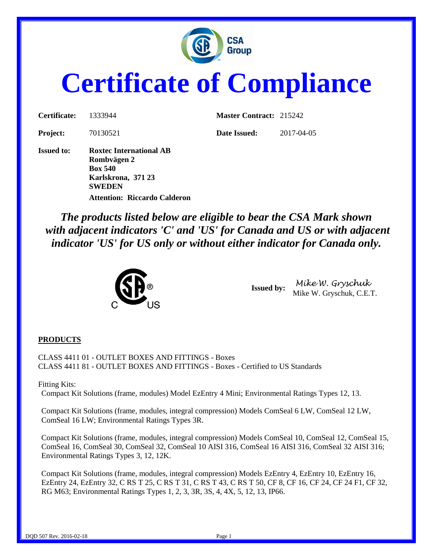

# **Certificate of Compliance**

| Certificate:      | 1333944                                                                                                | <b>Master Contract: 215242</b> |            |
|-------------------|--------------------------------------------------------------------------------------------------------|--------------------------------|------------|
| <b>Project:</b>   | 70130521                                                                                               | Date Issued:                   | 2017-04-05 |
| <b>Issued to:</b> | <b>Roxtec International AB</b><br>Rombvägen 2<br><b>Box 540</b><br>Karlskrona, 371 23<br><b>SWEDEN</b> |                                |            |

*The products listed below are eligible to bear the CSA Mark shown with adjacent indicators 'C' and 'US' for Canada and US or with adjacent indicator 'US' for US only or without either indicator for Canada only.*



**Attention: Riccardo Calderon**

**Issued by:** *Mike W. Gryschuk* Mike W. Gryschuk, C.E.T.

#### **PRODUCTS**

CLASS 4411 01 - OUTLET BOXES AND FITTINGS - Boxes CLASS 4411 81 - OUTLET BOXES AND FITTINGS - Boxes - Certified to US Standards

#### Fitting Kits:

Compact Kit Solutions (frame, modules) Model EzEntry 4 Mini; Environmental Ratings Types 12, 13.

Compact Kit Solutions (frame, modules, integral compression) Models ComSeal 6 LW, ComSeal 12 LW, ComSeal 16 LW; Environmental Ratings Types 3R.

Compact Kit Solutions (frame, modules, integral compression) Models ComSeal 10, ComSeal 12, ComSeal 15, ComSeal 16, ComSeal 30, ComSeal 32, ComSeal 10 AISI 316, ComSeal 16 AISI 316, ComSeal 32 AISI 316; Environmental Ratings Types 3, 12, 12K.

Compact Kit Solutions (frame, modules, integral compression) Models EzEntry 4, EzEntry 10, EzEntry 16, EzEntry 24, EzEntry 32, C RS T 25, C RS T 31, C RS T 43, C RS T 50, CF 8, CF 16, CF 24, CF 24 F1, CF 32, RG M63; Environmental Ratings Types 1, 2, 3, 3R, 3S, 4, 4X, 5, 12, 13, IP66.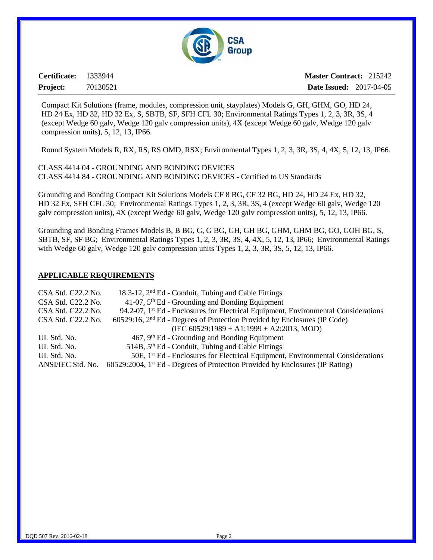

**Certificate:** 1333944 **Project:** 70130521

**Master Contract:** 215242 **Date Issued:** 2017-04-05

Compact Kit Solutions (frame, modules, compression unit, stayplates) Models G, GH, GHM, GO, HD 24, HD 24 Ex, HD 32, HD 32 Ex, S, SBTB, SF, SFH CFL 30; Environmental Ratings Types 1, 2, 3, 3R, 3S, 4 (except Wedge 60 galv, Wedge 120 galv compression units), 4X (except Wedge 60 galv, Wedge 120 galv compression units), 5, 12, 13, IP66.

Round System Models R, RX, RS, RS OMD, RSX; Environmental Types 1, 2, 3, 3R, 3S, 4, 4X, 5, 12, 13, IP66.

CLASS 4414 04 - GROUNDING AND BONDING DEVICES CLASS 4414 84 - GROUNDING AND BONDING DEVICES - Certified to US Standards

Grounding and Bonding Compact Kit Solutions Models CF 8 BG, CF 32 BG, HD 24, HD 24 Ex, HD 32, HD 32 Ex, SFH CFL 30; Environmental Ratings Types 1, 2, 3, 3R, 3S, 4 (except Wedge 60 galv, Wedge 120 galv compression units), 4X (except Wedge 60 galv, Wedge 120 galv compression units), 5, 12, 13, IP66.

Grounding and Bonding Frames Models B, B BG, G, G BG, GH, GH BG, GHM, GHM BG, GO, GOH BG, S, SBTB, SF, SF BG; Environmental Ratings Types 1, 2, 3, 3R, 3S, 4, 4X, 5, 12, 13, IP66; Environmental Ratings with Wedge 60 galv, Wedge 120 galv compression units Types 1, 2, 3, 3R, 3S, 5, 12, 13, IP66.

#### **APPLICABLE REQUIREMENTS**

| CSA Std. C22.2 No. | 18.3-12, 2 <sup>nd</sup> Ed - Conduit, Tubing and Cable Fittings                                |
|--------------------|-------------------------------------------------------------------------------------------------|
| CSA Std. C22.2 No. | $41-07$ , $5th$ Ed - Grounding and Bonding Equipment                                            |
| CSA Std. C22.2 No. | 94.2-07, 1 <sup>st</sup> Ed - Enclosures for Electrical Equipment, Environmental Considerations |
| CSA Std. C22.2 No. | $60529:16$ , $2nd Ed$ - Degrees of Protection Provided by Enclosures (IP Code)                  |
|                    | $(IEC 60529:1989 + A1:1999 + A2:2013, MOD)$                                                     |
| UL Std. No.        | $467, 9th$ Ed - Grounding and Bonding Equipment                                                 |
| UL Std. No.        | 514B, 5 <sup>th</sup> Ed - Conduit, Tubing and Cable Fittings                                   |
| UL Std. No.        | 50E, 1 <sup>st</sup> Ed - Enclosures for Electrical Equipment, Environmental Considerations     |
| ANSI/IEC Std. No.  | 60529:2004, 1 <sup>st</sup> Ed - Degrees of Protection Provided by Enclosures (IP Rating)       |